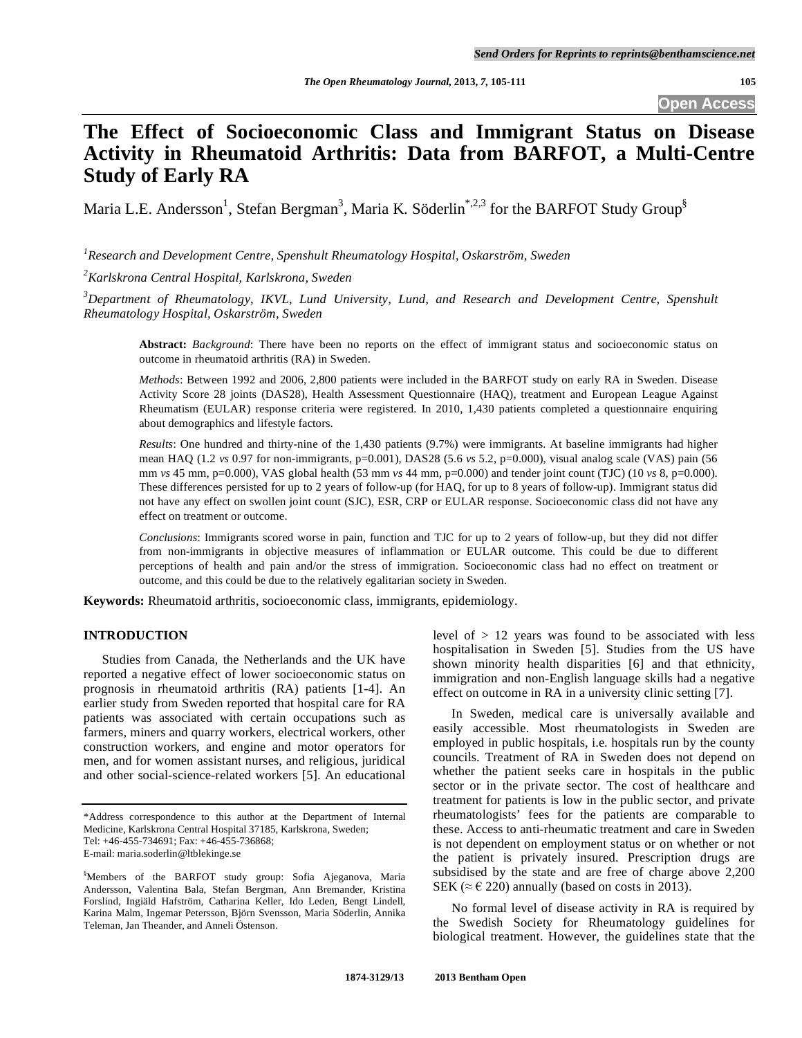## **Open Access**

# **The Effect of Socioeconomic Class and Immigrant Status on Disease Activity in Rheumatoid Arthritis: Data from BARFOT, a Multi-Centre Study of Early RA**

Maria L.E. Andersson<sup>1</sup>, Stefan Bergman<sup>3</sup>, Maria K. Söderlin<sup>\*,2,3</sup> for the BARFOT Study Group<sup>§</sup>

*1 Research and Development Centre, Spenshult Rheumatology Hospital, Oskarström, Sweden* 

*2 Karlskrona Central Hospital, Karlskrona, Sweden* 

*3 Department of Rheumatology, IKVL, Lund University, Lund, and Research and Development Centre, Spenshult Rheumatology Hospital, Oskarström, Sweden* 

**Abstract:** *Background*: There have been no reports on the effect of immigrant status and socioeconomic status on outcome in rheumatoid arthritis (RA) in Sweden.

*Methods*: Between 1992 and 2006, 2,800 patients were included in the BARFOT study on early RA in Sweden. Disease Activity Score 28 joints (DAS28), Health Assessment Questionnaire (HAQ), treatment and European League Against Rheumatism (EULAR) response criteria were registered. In 2010, 1,430 patients completed a questionnaire enquiring about demographics and lifestyle factors.

*Results*: One hundred and thirty-nine of the 1,430 patients (9.7%) were immigrants. At baseline immigrants had higher mean HAQ (1.2 *vs* 0.97 for non-immigrants, p=0.001), DAS28 (5.6 *vs* 5.2, p=0.000), visual analog scale (VAS) pain (56 mm *vs* 45 mm, p=0.000), VAS global health (53 mm *vs* 44 mm, p=0.000) and tender joint count (TJC) (10 *vs* 8, p=0.000). These differences persisted for up to 2 years of follow-up (for HAQ, for up to 8 years of follow-up). Immigrant status did not have any effect on swollen joint count (SJC), ESR, CRP or EULAR response. Socioeconomic class did not have any effect on treatment or outcome.

*Conclusions*: Immigrants scored worse in pain, function and TJC for up to 2 years of follow-up, but they did not differ from non-immigrants in objective measures of inflammation or EULAR outcome. This could be due to different perceptions of health and pain and/or the stress of immigration. Socioeconomic class had no effect on treatment or outcome, and this could be due to the relatively egalitarian society in Sweden.

**Keywords:** Rheumatoid arthritis, socioeconomic class, immigrants, epidemiology.

## **INTRODUCTION**

 Studies from Canada, the Netherlands and the UK have reported a negative effect of lower socioeconomic status on prognosis in rheumatoid arthritis (RA) patients [1-4]. An earlier study from Sweden reported that hospital care for RA patients was associated with certain occupations such as farmers, miners and quarry workers, electrical workers, other construction workers, and engine and motor operators for men, and for women assistant nurses, and religious, juridical and other social-science-related workers [5]. An educational

level of  $> 12$  years was found to be associated with less hospitalisation in Sweden [5]. Studies from the US have shown minority health disparities [6] and that ethnicity, immigration and non-English language skills had a negative effect on outcome in RA in a university clinic setting [7].

 In Sweden, medical care is universally available and easily accessible. Most rheumatologists in Sweden are employed in public hospitals, i.e. hospitals run by the county councils. Treatment of RA in Sweden does not depend on whether the patient seeks care in hospitals in the public sector or in the private sector. The cost of healthcare and treatment for patients is low in the public sector, and private rheumatologists' fees for the patients are comparable to these. Access to anti-rheumatic treatment and care in Sweden is not dependent on employment status or on whether or not the patient is privately insured. Prescription drugs are subsidised by the state and are free of charge above 2,200 SEK ( $\approx \epsilon$  220) annually (based on costs in 2013).

 No formal level of disease activity in RA is required by the Swedish Society for Rheumatology guidelines for biological treatment. However, the guidelines state that the

<sup>\*</sup>Address correspondence to this author at the Department of Internal Medicine, Karlskrona Central Hospital 37185, Karlskrona, Sweden; Tel: +46-455-734691; Fax: +46-455-736868; E-mail: maria.soderlin@ltblekinge.se

<sup>§</sup> Members of the BARFOT study group: Sofia Ajeganova, Maria Andersson, Valentina Bala, Stefan Bergman, Ann Bremander, Kristina Forslind, Ingiäld Hafström, Catharina Keller, Ido Leden, Bengt Lindell, Karina Malm, Ingemar Petersson, Björn Svensson, Maria Söderlin, Annika Teleman, Jan Theander, and Anneli Östenson.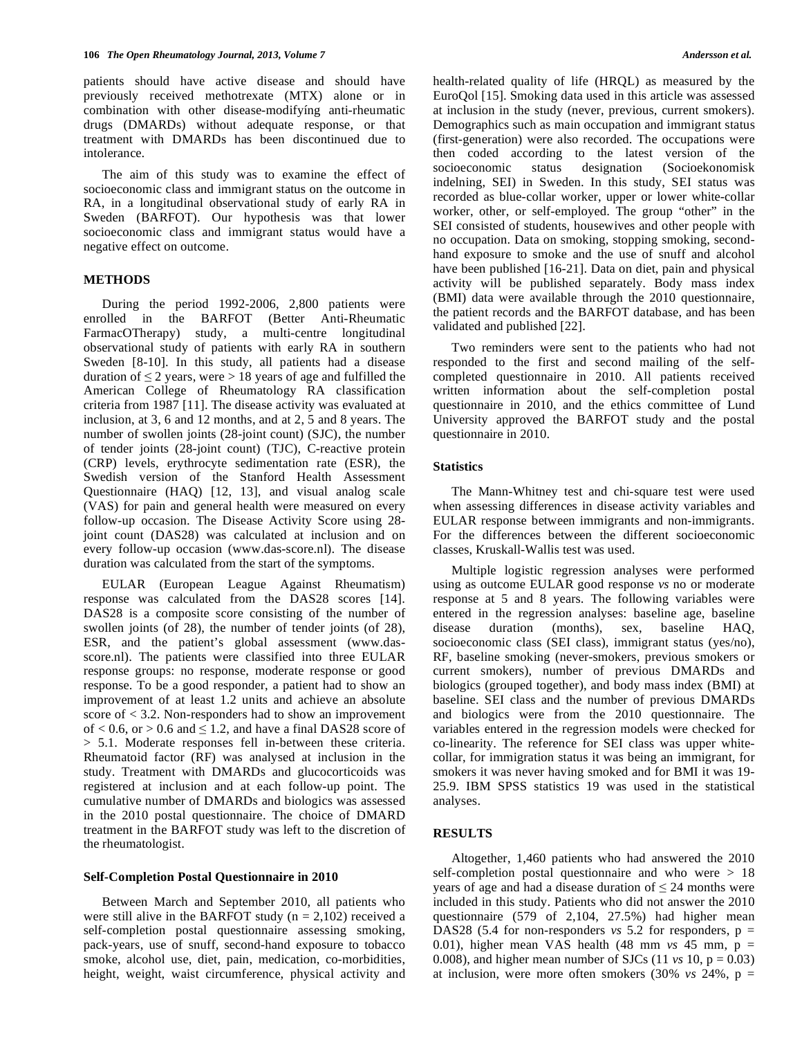patients should have active disease and should have previously received methotrexate (MTX) alone or in combination with other disease-modifyíng anti-rheumatic drugs (DMARDs) without adequate response, or that treatment with DMARDs has been discontinued due to intolerance.

 The aim of this study was to examine the effect of socioeconomic class and immigrant status on the outcome in RA, in a longitudinal observational study of early RA in Sweden (BARFOT). Our hypothesis was that lower socioeconomic class and immigrant status would have a negative effect on outcome.

## **METHODS**

 During the period 1992-2006, 2,800 patients were enrolled in the BARFOT (Better Anti-Rheumatic FarmacOTherapy) study, a multi-centre longitudinal observational study of patients with early RA in southern Sweden [8-10]. In this study, all patients had a disease duration of  $\leq$  2 years, were  $>$  18 years of age and fulfilled the American College of Rheumatology RA classification criteria from 1987 [11]. The disease activity was evaluated at inclusion, at 3, 6 and 12 months, and at 2, 5 and 8 years. The number of swollen joints (28-joint count) (SJC), the number of tender joints (28-joint count) (TJC), C-reactive protein (CRP) levels, erythrocyte sedimentation rate (ESR), the Swedish version of the Stanford Health Assessment Questionnaire (HAQ) [12, 13], and visual analog scale (VAS) for pain and general health were measured on every follow-up occasion. The Disease Activity Score using 28 joint count (DAS28) was calculated at inclusion and on every follow-up occasion (www.das-score.nl). The disease duration was calculated from the start of the symptoms.

 EULAR (European League Against Rheumatism) response was calculated from the DAS28 scores [14]. DAS28 is a composite score consisting of the number of swollen joints (of 28), the number of tender joints (of 28), ESR, and the patient's global assessment (www.dasscore.nl). The patients were classified into three EULAR response groups: no response, moderate response or good response. To be a good responder, a patient had to show an improvement of at least 1.2 units and achieve an absolute score of < 3.2. Non-responders had to show an improvement of  $< 0.6$ , or  $> 0.6$  and  $\leq 1.2$ , and have a final DAS28 score of > 5.1. Moderate responses fell in-between these criteria. Rheumatoid factor (RF) was analysed at inclusion in the study. Treatment with DMARDs and glucocorticoids was registered at inclusion and at each follow-up point. The cumulative number of DMARDs and biologics was assessed in the 2010 postal questionnaire. The choice of DMARD treatment in the BARFOT study was left to the discretion of the rheumatologist.

## **Self-Completion Postal Questionnaire in 2010**

 Between March and September 2010, all patients who were still alive in the BARFOT study ( $n = 2,102$ ) received a self-completion postal questionnaire assessing smoking, pack-years, use of snuff, second-hand exposure to tobacco smoke, alcohol use, diet, pain, medication, co-morbidities, height, weight, waist circumference, physical activity and

health-related quality of life (HRQL) as measured by the EuroQol [15]. Smoking data used in this article was assessed at inclusion in the study (never, previous, current smokers). Demographics such as main occupation and immigrant status (first-generation) were also recorded. The occupations were then coded according to the latest version of the socioeconomic status designation (Socioekonomisk indelning, SEI) in Sweden. In this study, SEI status was recorded as blue-collar worker, upper or lower white-collar worker, other, or self-employed. The group "other" in the SEI consisted of students, housewives and other people with no occupation. Data on smoking, stopping smoking, secondhand exposure to smoke and the use of snuff and alcohol have been published [16-21]. Data on diet, pain and physical activity will be published separately. Body mass index (BMI) data were available through the 2010 questionnaire, the patient records and the BARFOT database, and has been validated and published [22].

 Two reminders were sent to the patients who had not responded to the first and second mailing of the selfcompleted questionnaire in 2010. All patients received written information about the self-completion postal questionnaire in 2010, and the ethics committee of Lund University approved the BARFOT study and the postal questionnaire in 2010.

## **Statistics**

 The Mann-Whitney test and chi-square test were used when assessing differences in disease activity variables and EULAR response between immigrants and non-immigrants. For the differences between the different socioeconomic classes, Kruskall-Wallis test was used.

 Multiple logistic regression analyses were performed using as outcome EULAR good response *vs* no or moderate response at 5 and 8 years. The following variables were entered in the regression analyses: baseline age, baseline disease duration (months), sex, baseline HAQ, socioeconomic class (SEI class), immigrant status (yes/no), RF, baseline smoking (never-smokers, previous smokers or current smokers), number of previous DMARDs and biologics (grouped together), and body mass index (BMI) at baseline. SEI class and the number of previous DMARDs and biologics were from the 2010 questionnaire. The variables entered in the regression models were checked for co-linearity. The reference for SEI class was upper whitecollar, for immigration status it was being an immigrant, for smokers it was never having smoked and for BMI it was 19- 25.9. IBM SPSS statistics 19 was used in the statistical analyses.

#### **RESULTS**

 Altogether, 1,460 patients who had answered the 2010 self-completion postal questionnaire and who were > 18 years of age and had a disease duration of  $\leq 24$  months were included in this study. Patients who did not answer the 2010 questionnaire (579 of 2,104, 27.5%) had higher mean DAS28 (5.4 for non-responders  $vs$  5.2 for responders,  $p =$ 0.01), higher mean VAS health  $(48 \text{ mm } \text{vs } 45 \text{ mm}, \text{p} =$ 0.008), and higher mean number of SJCs  $(11 \text{ vs } 10, \text{ p } = 0.03)$ at inclusion, were more often smokers (30% *vs* 24%, p =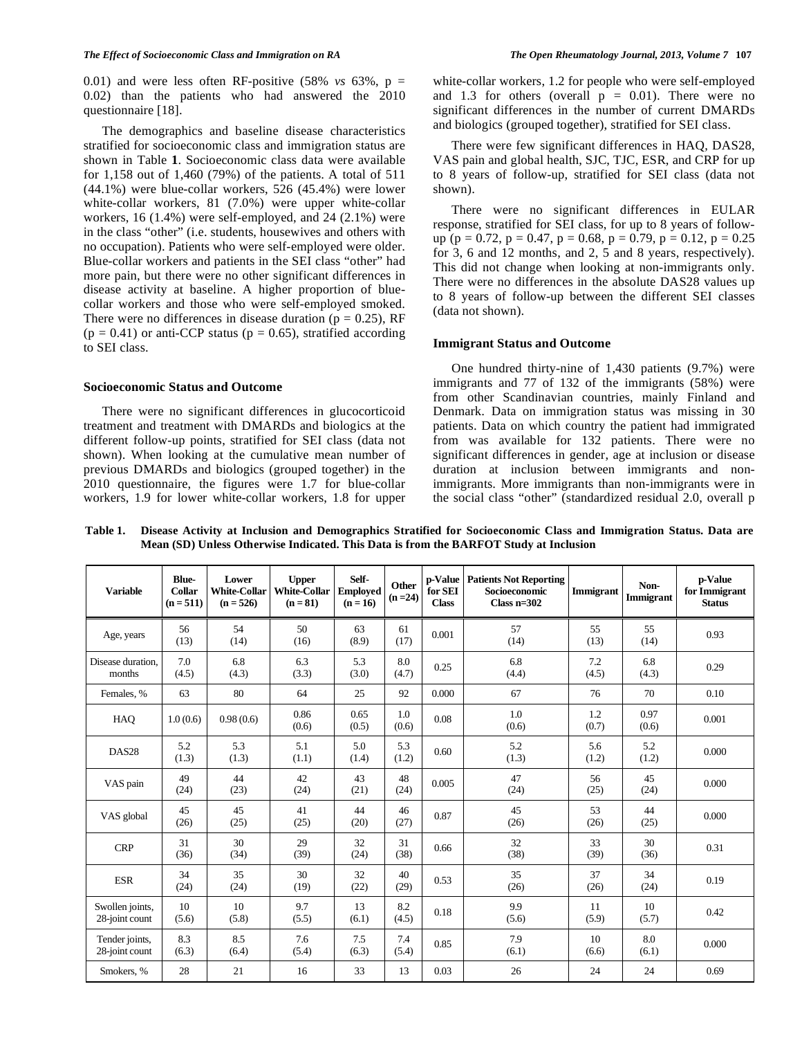0.01) and were less often RF-positive  $(58\% \text{ vs } 63\% , p =$ 0.02) than the patients who had answered the 2010 questionnaire [18].

 The demographics and baseline disease characteristics stratified for socioeconomic class and immigration status are shown in Table **1**. Socioeconomic class data were available for 1,158 out of 1,460 (79%) of the patients. A total of 511  $(44.1\%)$  were blue-collar workers,  $526$   $(45.4\%)$  were lower white-collar workers, 81 (7.0%) were upper white-collar workers, 16 (1.4%) were self-employed, and 24 (2.1%) were in the class "other" (i.e. students, housewives and others with no occupation). Patients who were self-employed were older. Blue-collar workers and patients in the SEI class "other" had more pain, but there were no other significant differences in disease activity at baseline. A higher proportion of bluecollar workers and those who were self-employed smoked. There were no differences in disease duration ( $p = 0.25$ ), RF  $(p = 0.41)$  or anti-CCP status  $(p = 0.65)$ , stratified according to SEI class.

## **Socioeconomic Status and Outcome**

 There were no significant differences in glucocorticoid treatment and treatment with DMARDs and biologics at the different follow-up points, stratified for SEI class (data not shown). When looking at the cumulative mean number of previous DMARDs and biologics (grouped together) in the 2010 questionnaire, the figures were 1.7 for blue-collar workers, 1.9 for lower white-collar workers, 1.8 for upper white-collar workers, 1.2 for people who were self-employed and 1.3 for others (overall  $p = 0.01$ ). There were no significant differences in the number of current DMARDs and biologics (grouped together), stratified for SEI class.

 There were few significant differences in HAQ, DAS28, VAS pain and global health, SJC, TJC, ESR, and CRP for up to 8 years of follow-up, stratified for SEI class (data not shown).

 There were no significant differences in EULAR response, stratified for SEI class, for up to 8 years of followup ( $p = 0.72$ ,  $p = 0.47$ ,  $p = 0.68$ ,  $p = 0.79$ ,  $p = 0.12$ ,  $p = 0.25$ for 3, 6 and 12 months, and 2, 5 and 8 years, respectively). This did not change when looking at non-immigrants only. There were no differences in the absolute DAS28 values up to 8 years of follow-up between the different SEI classes (data not shown).

## **Immigrant Status and Outcome**

 One hundred thirty-nine of 1,430 patients (9.7%) were immigrants and 77 of 132 of the immigrants (58%) were from other Scandinavian countries, mainly Finland and Denmark. Data on immigration status was missing in 30 patients. Data on which country the patient had immigrated from was available for 132 patients. There were no significant differences in gender, age at inclusion or disease duration at inclusion between immigrants and nonimmigrants. More immigrants than non-immigrants were in the social class "other" (standardized residual 2.0, overall p

**Table 1. Disease Activity at Inclusion and Demographics Stratified for Socioeconomic Class and Immigration Status. Data are Mean (SD) Unless Otherwise Indicated. This Data is from the BARFOT Study at Inclusion** 

| <b>Variable</b>                   | <b>Blue-</b><br><b>Collar</b><br>$(n = 511)$ | Lower<br><b>White-Collar</b><br>$(n = 526)$ | <b>Upper</b><br><b>White-Collar</b><br>$(n = 81)$ | Self-<br><b>Employed</b><br>$(n = 16)$ | Other<br>$(n = 24)$ | <b>p-Value</b><br>for SEI<br><b>Class</b> | <b>Patients Not Reporting</b><br>Socioeconomic<br>Class $n=302$ | Immigrant    | Non-<br>Immigrant | p-Value<br>for Immigrant<br><b>Status</b> |
|-----------------------------------|----------------------------------------------|---------------------------------------------|---------------------------------------------------|----------------------------------------|---------------------|-------------------------------------------|-----------------------------------------------------------------|--------------|-------------------|-------------------------------------------|
| Age, years                        | 56<br>(13)                                   | 54<br>(14)                                  | 50<br>(16)                                        | 63<br>(8.9)                            | 61<br>(17)          | 0.001                                     | 57<br>(14)                                                      | 55<br>(13)   | 55<br>(14)        | 0.93                                      |
| Disease duration.<br>months       | 7.0<br>(4.5)                                 | 6.8<br>(4.3)                                | 6.3<br>(3.3)                                      | 5.3<br>(3.0)                           | 8.0<br>(4.7)        | 0.25                                      | 6.8<br>(4.4)                                                    | 7.2<br>(4.5) | 6.8<br>(4.3)      | 0.29                                      |
| Females, %                        | 63                                           | 80                                          | 64                                                | 25                                     | 92                  | 0.000                                     | 67                                                              | 76           | 70                | 0.10                                      |
| HAO                               | 1.0(0.6)                                     | 0.98(0.6)                                   | 0.86<br>(0.6)                                     | 0.65<br>(0.5)                          | 1.0<br>(0.6)        | 0.08                                      | 1.0<br>(0.6)                                                    | 1.2<br>(0.7) | 0.97<br>(0.6)     | 0.001                                     |
| DAS <sub>28</sub>                 | 5.2<br>(1.3)                                 | 5.3<br>(1.3)                                | 5.1<br>(1.1)                                      | 5.0<br>(1.4)                           | 5.3<br>(1.2)        | 0.60                                      | 5.2<br>(1.3)                                                    | 5.6<br>(1.2) | 5.2<br>(1.2)      | 0.000                                     |
| VAS pain                          | 49<br>(24)                                   | 44<br>(23)                                  | 42<br>(24)                                        | 43<br>(21)                             | 48<br>(24)          | 0.005                                     | 47<br>(24)                                                      | 56<br>(25)   | 45<br>(24)        | 0.000                                     |
| VAS global                        | 45<br>(26)                                   | 45<br>(25)                                  | 41<br>(25)                                        | 44<br>(20)                             | 46<br>(27)          | 0.87                                      | 45<br>(26)                                                      | 53<br>(26)   | 44<br>(25)        | 0.000                                     |
| <b>CRP</b>                        | 31<br>(36)                                   | 30<br>(34)                                  | 29<br>(39)                                        | 32<br>(24)                             | 31<br>(38)          | 0.66                                      | 32<br>(38)                                                      | 33<br>(39)   | 30<br>(36)        | 0.31                                      |
| <b>ESR</b>                        | 34<br>(24)                                   | 35<br>(24)                                  | 30<br>(19)                                        | 32<br>(22)                             | 40<br>(29)          | 0.53                                      | 35<br>(26)                                                      | 37<br>(26)   | 34<br>(24)        | 0.19                                      |
| Swollen joints,<br>28-joint count | 10<br>(5.6)                                  | 10<br>(5.8)                                 | 9.7<br>(5.5)                                      | 13<br>(6.1)                            | 8.2<br>(4.5)        | 0.18                                      | 9.9<br>(5.6)                                                    | 11<br>(5.9)  | 10<br>(5.7)       | 0.42                                      |
| Tender joints,<br>28-joint count  | 8.3<br>(6.3)                                 | 8.5<br>(6.4)                                | 7.6<br>(5.4)                                      | 7.5<br>(6.3)                           | 7.4<br>(5.4)        | 0.85                                      | 7.9<br>(6.1)                                                    | 10<br>(6.6)  | 8.0<br>(6.1)      | 0.000                                     |
| Smokers, %                        | 28                                           | 21                                          | 16                                                | 33                                     | 13                  | 0.03                                      | 26                                                              | 24           | 24                | 0.69                                      |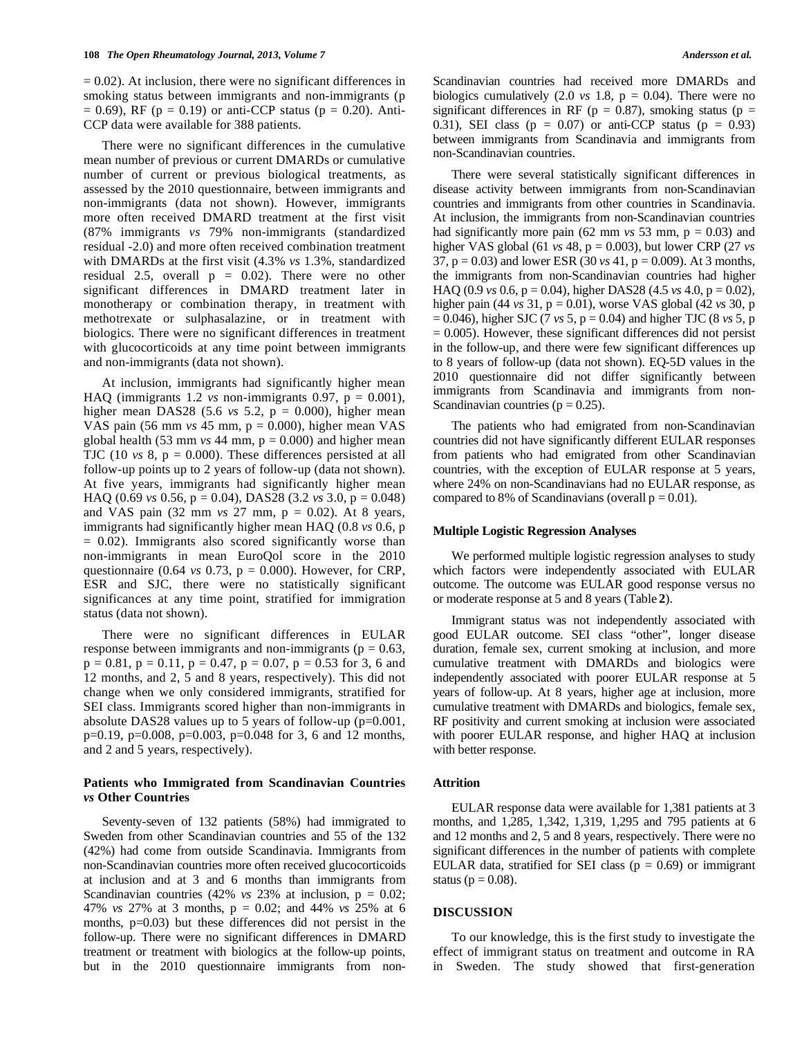$= 0.02$ ). At inclusion, there were no significant differences in smoking status between immigrants and non-immigrants (p  $= 0.69$ ), RF (p = 0.19) or anti-CCP status (p = 0.20). Anti-CCP data were available for 388 patients.

 There were no significant differences in the cumulative mean number of previous or current DMARDs or cumulative number of current or previous biological treatments, as assessed by the 2010 questionnaire, between immigrants and non-immigrants (data not shown). However, immigrants more often received DMARD treatment at the first visit (87% immigrants *vs* 79% non-immigrants (standardized residual -2.0) and more often received combination treatment with DMARDs at the first visit (4.3% *vs* 1.3%, standardized residual 2.5, overall  $p = 0.02$ ). There were no other significant differences in DMARD treatment later in monotherapy or combination therapy, in treatment with methotrexate or sulphasalazine, or in treatment with biologics. There were no significant differences in treatment with glucocorticoids at any time point between immigrants and non-immigrants (data not shown).

 At inclusion, immigrants had significantly higher mean HAQ (immigrants 1.2  $\nu$ s non-immigrants 0.97,  $p = 0.001$ ), higher mean DAS28 (5.6  $vs$  5.2,  $p = 0.000$ ), higher mean VAS pain  $(56 \text{ mm } vs \ 45 \text{ mm}, p = 0.000)$ , higher mean VAS global health (53 mm  $vs$  44 mm,  $p = 0.000$ ) and higher mean TJC (10  $vs$  8,  $p = 0.000$ ). These differences persisted at all follow-up points up to 2 years of follow-up (data not shown). At five years, immigrants had significantly higher mean HAQ (0.69 *vs* 0.56, p = 0.04), DAS28 (3.2 *vs* 3.0, p = 0.048) and VAS pain (32 mm *vs* 27 mm, p = 0.02). At 8 years, immigrants had significantly higher mean HAQ (0.8 *vs* 0.6, p  $= 0.02$ ). Immigrants also scored significantly worse than non-immigrants in mean EuroQol score in the 2010 questionnaire (0.64  $vs$  0.73,  $p = 0.000$ ). However, for CRP, ESR and SJC, there were no statistically significant significances at any time point, stratified for immigration status (data not shown).

 There were no significant differences in EULAR response between immigrants and non-immigrants ( $p = 0.63$ ,  $p = 0.81$ ,  $p = 0.11$ ,  $p = 0.47$ ,  $p = 0.07$ ,  $p = 0.53$  for 3, 6 and 12 months, and 2, 5 and 8 years, respectively). This did not change when we only considered immigrants, stratified for SEI class. Immigrants scored higher than non-immigrants in absolute DAS28 values up to 5 years of follow-up (p=0.001, p=0.19, p=0.008, p=0.003, p=0.048 for 3, 6 and 12 months, and 2 and 5 years, respectively).

### **Patients who Immigrated from Scandinavian Countries**  *vs* **Other Countries**

 Seventy-seven of 132 patients (58%) had immigrated to Sweden from other Scandinavian countries and 55 of the 132 (42%) had come from outside Scandinavia. Immigrants from non-Scandinavian countries more often received glucocorticoids at inclusion and at 3 and 6 months than immigrants from Scandinavian countries (42% *vs* 23% at inclusion,  $p = 0.02$ ; 47% *vs* 27% at 3 months, p = 0.02; and 44% *vs* 25% at 6 months, p=0.03) but these differences did not persist in the follow-up. There were no significant differences in DMARD treatment or treatment with biologics at the follow-up points, but in the 2010 questionnaire immigrants from nonScandinavian countries had received more DMARDs and biologics cumulatively  $(2.0 \text{ vs } 1.8, \text{ p } = 0.04)$ . There were no significant differences in RF ( $p = 0.87$ ), smoking status ( $p =$ 0.31), SEI class ( $p = 0.07$ ) or anti-CCP status ( $p = 0.93$ ) between immigrants from Scandinavia and immigrants from non-Scandinavian countries.

 There were several statistically significant differences in disease activity between immigrants from non-Scandinavian countries and immigrants from other countries in Scandinavia. At inclusion, the immigrants from non-Scandinavian countries had significantly more pain  $(62 \text{ mm } vs \text{ 53 mm, p = } 0.03)$  and higher VAS global (61 *vs* 48, p = 0.003), but lower CRP (27 *vs* 37, p = 0.03) and lower ESR (30 *vs* 41, p = 0.009). At 3 months, the immigrants from non-Scandinavian countries had higher HAQ (0.9 *vs* 0.6, p = 0.04), higher DAS28 (4.5 *vs* 4.0, p = 0.02), higher pain (44 *vs* 31, p = 0.01), worse VAS global (42 *vs* 30, p = 0.046), higher SJC (7 *vs* 5, p = 0.04) and higher TJC (8 *vs* 5, p  $= 0.005$ ). However, these significant differences did not persist in the follow-up, and there were few significant differences up to 8 years of follow-up (data not shown). EQ-5D values in the 2010 questionnaire did not differ significantly between immigrants from Scandinavia and immigrants from non-Scandinavian countries ( $p = 0.25$ ).

 The patients who had emigrated from non-Scandinavian countries did not have significantly different EULAR responses from patients who had emigrated from other Scandinavian countries, with the exception of EULAR response at 5 years, where 24% on non-Scandinavians had no EULAR response, as compared to 8% of Scandinavians (overall  $p = 0.01$ ).

## **Multiple Logistic Regression Analyses**

 We performed multiple logistic regression analyses to study which factors were independently associated with EULAR outcome. The outcome was EULAR good response versus no or moderate response at 5 and 8 years (Table **2**).

 Immigrant status was not independently associated with good EULAR outcome. SEI class "other", longer disease duration, female sex, current smoking at inclusion, and more cumulative treatment with DMARDs and biologics were independently associated with poorer EULAR response at 5 years of follow-up. At 8 years, higher age at inclusion, more cumulative treatment with DMARDs and biologics, female sex, RF positivity and current smoking at inclusion were associated with poorer EULAR response, and higher HAQ at inclusion with better response.

### **Attrition**

 EULAR response data were available for 1,381 patients at 3 months, and 1,285, 1,342, 1,319, 1,295 and 795 patients at 6 and 12 months and 2, 5 and 8 years, respectively. There were no significant differences in the number of patients with complete EULAR data, stratified for SEI class ( $p = 0.69$ ) or immigrant status ( $p = 0.08$ ).

### **DISCUSSION**

 To our knowledge, this is the first study to investigate the effect of immigrant status on treatment and outcome in RA in Sweden. The study showed that first-generation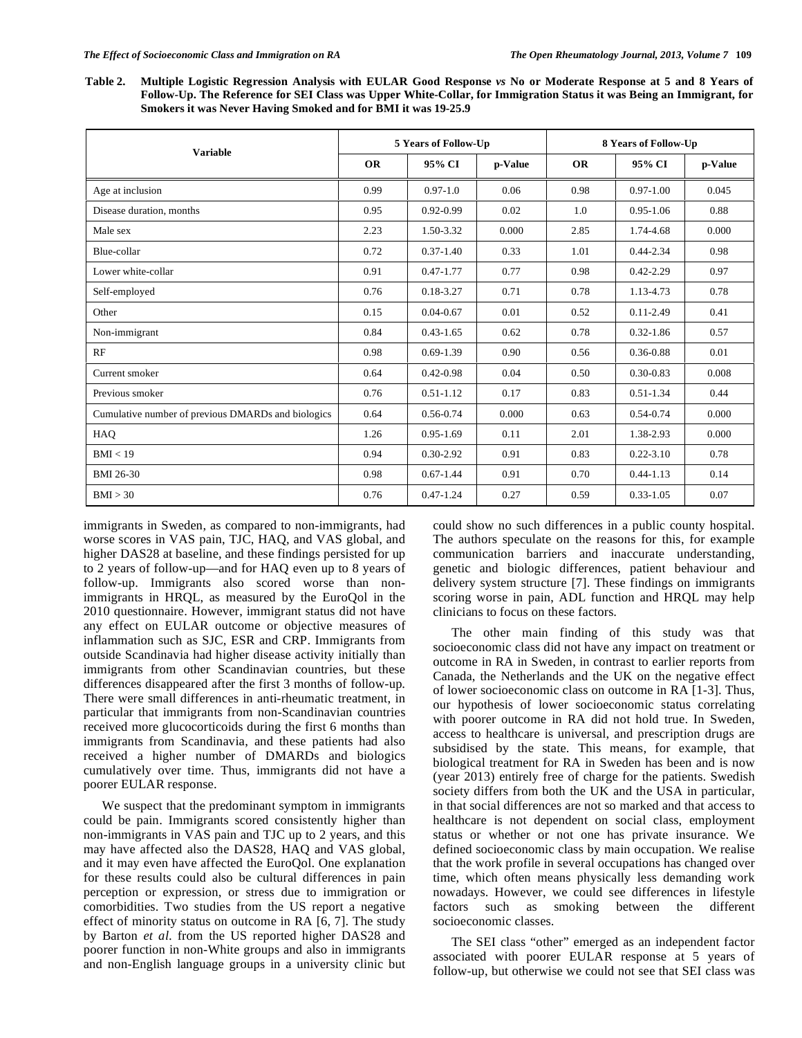**Table 2. Multiple Logistic Regression Analysis with EULAR Good Response** *vs* **No or Moderate Response at 5 and 8 Years of Follow-Up. The Reference for SEI Class was Upper White-Collar, for Immigration Status it was Being an Immigrant, for Smokers it was Never Having Smoked and for BMI it was 19-25.9** 

| <b>Variable</b>                                    |           | 5 Years of Follow-Up |         | 8 Years of Follow-Up |               |         |  |
|----------------------------------------------------|-----------|----------------------|---------|----------------------|---------------|---------|--|
|                                                    | <b>OR</b> | 95% CI               | p-Value | <b>OR</b>            | 95% CI        | p-Value |  |
| Age at inclusion                                   | 0.99      | $0.97 - 1.0$         | 0.06    | 0.98                 | $0.97 - 1.00$ | 0.045   |  |
| Disease duration, months                           | 0.95      | $0.92 - 0.99$        | 0.02    | 1.0                  | $0.95 - 1.06$ | 0.88    |  |
| Male sex                                           | 2.23      | 1.50-3.32            | 0.000   | 2.85                 | 1.74-4.68     | 0.000   |  |
| Blue-collar                                        | 0.72      | $0.37 - 1.40$        | 0.33    | 1.01                 | $0.44 - 2.34$ | 0.98    |  |
| Lower white-collar                                 | 0.91      | $0.47 - 1.77$        | 0.77    | 0.98                 | $0.42 - 2.29$ | 0.97    |  |
| Self-employed                                      | 0.76      | 0.18-3.27            | 0.71    | 0.78                 | 1.13-4.73     | 0.78    |  |
| Other                                              | 0.15      | $0.04 - 0.67$        | 0.01    | 0.52                 | $0.11 - 2.49$ | 0.41    |  |
| Non-immigrant                                      | 0.84      | $0.43 - 1.65$        | 0.62    | 0.78                 | $0.32 - 1.86$ | 0.57    |  |
| RF                                                 | 0.98      | $0.69 - 1.39$        | 0.90    | 0.56                 | 0.36-0.88     | 0.01    |  |
| Current smoker                                     | 0.64      | $0.42 - 0.98$        | 0.04    | 0.50                 | $0.30 - 0.83$ | 0.008   |  |
| Previous smoker                                    | 0.76      | $0.51 - 1.12$        | 0.17    | 0.83                 | $0.51 - 1.34$ | 0.44    |  |
| Cumulative number of previous DMARDs and biologics | 0.64      | 0.56-0.74            | 0.000   | 0.63                 | $0.54 - 0.74$ | 0.000   |  |
| HAQ                                                | 1.26      | $0.95 - 1.69$        | 0.11    | 2.01                 | 1.38-2.93     | 0.000   |  |
| BMI < 19                                           | 0.94      | $0.30 - 2.92$        | 0.91    | 0.83                 | $0.22 - 3.10$ | 0.78    |  |
| <b>BMI 26-30</b>                                   | 0.98      | $0.67 - 1.44$        | 0.91    | 0.70                 | $0.44 - 1.13$ | 0.14    |  |
| BMI > 30                                           | 0.76      | $0.47 - 1.24$        | 0.27    | 0.59                 | $0.33 - 1.05$ | 0.07    |  |

immigrants in Sweden, as compared to non-immigrants, had worse scores in VAS pain, TJC, HAQ, and VAS global, and higher DAS28 at baseline, and these findings persisted for up to 2 years of follow-up—and for HAQ even up to 8 years of follow-up. Immigrants also scored worse than nonimmigrants in HRQL, as measured by the EuroQol in the 2010 questionnaire. However, immigrant status did not have any effect on EULAR outcome or objective measures of inflammation such as SJC, ESR and CRP. Immigrants from outside Scandinavia had higher disease activity initially than immigrants from other Scandinavian countries, but these differences disappeared after the first 3 months of follow-up. There were small differences in anti-rheumatic treatment, in particular that immigrants from non-Scandinavian countries received more glucocorticoids during the first 6 months than immigrants from Scandinavia, and these patients had also received a higher number of DMARDs and biologics cumulatively over time. Thus, immigrants did not have a poorer EULAR response.

 We suspect that the predominant symptom in immigrants could be pain. Immigrants scored consistently higher than non-immigrants in VAS pain and TJC up to 2 years, and this may have affected also the DAS28, HAQ and VAS global, and it may even have affected the EuroQol. One explanation for these results could also be cultural differences in pain perception or expression, or stress due to immigration or comorbidities. Two studies from the US report a negative effect of minority status on outcome in RA [6, 7]. The study by Barton *et al*. from the US reported higher DAS28 and poorer function in non-White groups and also in immigrants and non-English language groups in a university clinic but

could show no such differences in a public county hospital. The authors speculate on the reasons for this, for example communication barriers and inaccurate understanding, genetic and biologic differences, patient behaviour and delivery system structure [7]. These findings on immigrants scoring worse in pain, ADL function and HRQL may help clinicians to focus on these factors.

 The other main finding of this study was that socioeconomic class did not have any impact on treatment or outcome in RA in Sweden, in contrast to earlier reports from Canada, the Netherlands and the UK on the negative effect of lower socioeconomic class on outcome in RA [1-3]. Thus, our hypothesis of lower socioeconomic status correlating with poorer outcome in RA did not hold true. In Sweden, access to healthcare is universal, and prescription drugs are subsidised by the state. This means, for example, that biological treatment for RA in Sweden has been and is now (year 2013) entirely free of charge for the patients. Swedish society differs from both the UK and the USA in particular, in that social differences are not so marked and that access to healthcare is not dependent on social class, employment status or whether or not one has private insurance. We defined socioeconomic class by main occupation. We realise that the work profile in several occupations has changed over time, which often means physically less demanding work nowadays. However, we could see differences in lifestyle factors such as smoking between the different socioeconomic classes.

 The SEI class "other" emerged as an independent factor associated with poorer EULAR response at 5 years of follow-up, but otherwise we could not see that SEI class was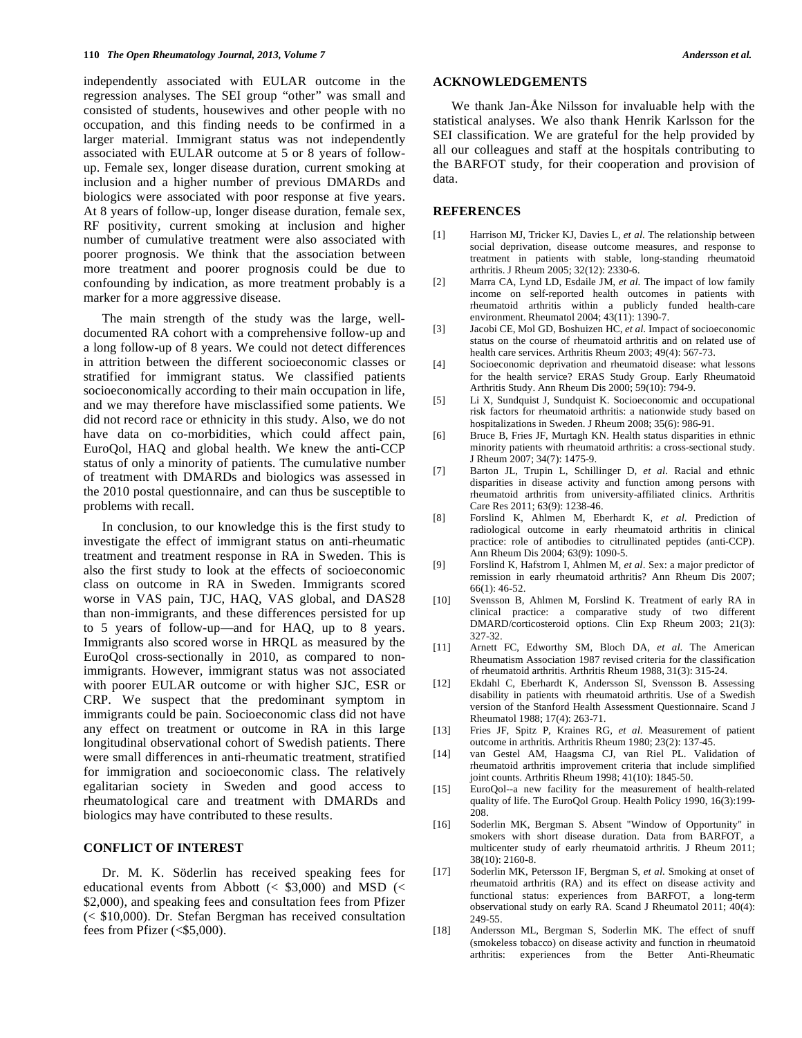independently associated with EULAR outcome in the regression analyses. The SEI group "other" was small and consisted of students, housewives and other people with no occupation, and this finding needs to be confirmed in a larger material. Immigrant status was not independently associated with EULAR outcome at 5 or 8 years of followup. Female sex, longer disease duration, current smoking at inclusion and a higher number of previous DMARDs and biologics were associated with poor response at five years. At 8 years of follow-up, longer disease duration, female sex, RF positivity, current smoking at inclusion and higher number of cumulative treatment were also associated with poorer prognosis. We think that the association between more treatment and poorer prognosis could be due to confounding by indication, as more treatment probably is a marker for a more aggressive disease.

 The main strength of the study was the large, welldocumented RA cohort with a comprehensive follow-up and a long follow-up of 8 years. We could not detect differences in attrition between the different socioeconomic classes or stratified for immigrant status. We classified patients socioeconomically according to their main occupation in life, and we may therefore have misclassified some patients. We did not record race or ethnicity in this study. Also, we do not have data on co-morbidities, which could affect pain, EuroQol, HAQ and global health. We knew the anti-CCP status of only a minority of patients. The cumulative number of treatment with DMARDs and biologics was assessed in the 2010 postal questionnaire, and can thus be susceptible to problems with recall.

 In conclusion, to our knowledge this is the first study to investigate the effect of immigrant status on anti-rheumatic treatment and treatment response in RA in Sweden. This is also the first study to look at the effects of socioeconomic class on outcome in RA in Sweden. Immigrants scored worse in VAS pain, TJC, HAQ, VAS global, and DAS28 than non-immigrants, and these differences persisted for up to 5 years of follow-up—and for HAQ, up to 8 years. Immigrants also scored worse in HRQL as measured by the EuroQol cross-sectionally in 2010, as compared to nonimmigrants. However, immigrant status was not associated with poorer EULAR outcome or with higher SJC, ESR or CRP. We suspect that the predominant symptom in immigrants could be pain. Socioeconomic class did not have any effect on treatment or outcome in RA in this large longitudinal observational cohort of Swedish patients. There were small differences in anti-rheumatic treatment, stratified for immigration and socioeconomic class. The relatively egalitarian society in Sweden and good access to rheumatological care and treatment with DMARDs and biologics may have contributed to these results.

## **CONFLICT OF INTEREST**

 Dr. M. K. Söderlin has received speaking fees for educational events from Abbott  $(<$  \$3,000) and MSD  $(<$ \$2,000), and speaking fees and consultation fees from Pfizer (< \$10,000). Dr. Stefan Bergman has received consultation fees from Pfizer (<\$5,000).

## **ACKNOWLEDGEMENTS**

 We thank Jan-Åke Nilsson for invaluable help with the statistical analyses. We also thank Henrik Karlsson for the SEI classification. We are grateful for the help provided by all our colleagues and staff at the hospitals contributing to the BARFOT study, for their cooperation and provision of data.

## **REFERENCES**

- [1] Harrison MJ, Tricker KJ, Davies L*, et al*. The relationship between social deprivation, disease outcome measures, and response to treatment in patients with stable, long-standing rheumatoid arthritis. J Rheum 2005; 32(12): 2330-6.
- [2] Marra CA, Lynd LD, Esdaile JM*, et al*. The impact of low family income on self-reported health outcomes in patients with rheumatoid arthritis within a publicly funded health-care environment. Rheumatol 2004; 43(11): 1390-7.
- [3] Jacobi CE, Mol GD, Boshuizen HC*, et al*. Impact of socioeconomic status on the course of rheumatoid arthritis and on related use of health care services. Arthritis Rheum 2003; 49(4): 567-73.
- [4] Socioeconomic deprivation and rheumatoid disease: what lessons for the health service? ERAS Study Group. Early Rheumatoid Arthritis Study. Ann Rheum Dis 2000; 59(10): 794-9.
- [5] Li X, Sundquist J, Sundquist K. Socioeconomic and occupational risk factors for rheumatoid arthritis: a nationwide study based on hospitalizations in Sweden. J Rheum 2008; 35(6): 986-91.
- [6] Bruce B, Fries JF, Murtagh KN. Health status disparities in ethnic minority patients with rheumatoid arthritis: a cross-sectional study. J Rheum 2007; 34(7): 1475-9.
- [7] Barton JL, Trupin L, Schillinger D*, et al*. Racial and ethnic disparities in disease activity and function among persons with rheumatoid arthritis from university-affiliated clinics. Arthritis Care Res 2011; 63(9): 1238-46.
- [8] Forslind K, Ahlmen M, Eberhardt K*, et al*. Prediction of radiological outcome in early rheumatoid arthritis in clinical practice: role of antibodies to citrullinated peptides (anti-CCP). Ann Rheum Dis 2004; 63(9): 1090-5.
- [9] Forslind K, Hafstrom I, Ahlmen M*, et al*. Sex: a major predictor of remission in early rheumatoid arthritis? Ann Rheum Dis 2007; 66(1): 46-52.
- [10] Svensson B, Ahlmen M, Forslind K. Treatment of early RA in clinical practice: a comparative study of two different DMARD/corticosteroid options. Clin Exp Rheum 2003; 21(3): 327-32.
- [11] Arnett FC, Edworthy SM, Bloch DA*, et al*. The American Rheumatism Association 1987 revised criteria for the classification of rheumatoid arthritis. Arthritis Rheum 1988, 31(3): 315-24.
- [12] Ekdahl C, Eberhardt K, Andersson SI, Svensson B. Assessing disability in patients with rheumatoid arthritis. Use of a Swedish version of the Stanford Health Assessment Questionnaire. Scand J Rheumatol 1988; 17(4): 263-71.
- [13] Fries JF, Spitz P, Kraines RG*, et al*. Measurement of patient outcome in arthritis. Arthritis Rheum 1980; 23(2): 137-45.
- [14] van Gestel AM, Haagsma CJ, van Riel PL. Validation of rheumatoid arthritis improvement criteria that include simplified joint counts. Arthritis Rheum 1998; 41(10): 1845-50.
- [15] EuroQol--a new facility for the measurement of health-related quality of life. The EuroQol Group. Health Policy 1990, 16(3):199- 208.
- [16] Soderlin MK, Bergman S. Absent "Window of Opportunity" in smokers with short disease duration. Data from BARFOT, a multicenter study of early rheumatoid arthritis. J Rheum 2011; 38(10): 2160-8.
- [17] Soderlin MK, Petersson IF, Bergman S*, et al*. Smoking at onset of rheumatoid arthritis (RA) and its effect on disease activity and functional status: experiences from BARFOT, a long-term observational study on early RA. Scand J Rheumatol 2011; 40(4): 249-55.
- [18] Andersson ML, Bergman S, Soderlin MK. The effect of snuff (smokeless tobacco) on disease activity and function in rheumatoid arthritis: experiences from the Better Anti-Rheumatic